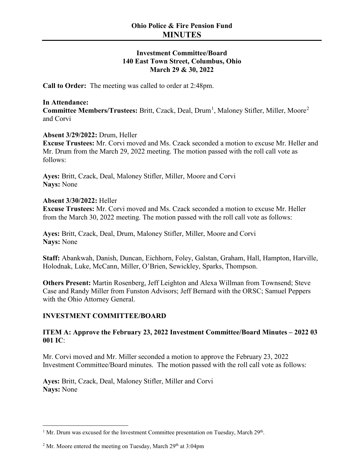# **Investment Committee/Board 140 East Town Street, Columbus, Ohio March 29 & 30, 2022**

**Call to Order:** The meeting was called to order at 2:48pm.

#### **In Attendance:**

Committee Members/Trustees: Britt, Czack, Deal, Drum<sup>[1](#page-0-0)</sup>, Maloney Stifler, Miller, Moore<sup>[2](#page-0-1)</sup> and Corvi

#### **Absent 3/29/2022:** Drum, Heller

**Excuse Trustees:** Mr. Corvi moved and Ms. Czack seconded a motion to excuse Mr. Heller and Mr. Drum from the March 29, 2022 meeting. The motion passed with the roll call vote as follows:

**Ayes:** Britt, Czack, Deal, Maloney Stifler, Miller, Moore and Corvi **Nays:** None

#### **Absent 3/30/2022:** Heller

**Excuse Trustees:** Mr. Corvi moved and Ms. Czack seconded a motion to excuse Mr. Heller from the March 30, 2022 meeting. The motion passed with the roll call vote as follows:

**Ayes:** Britt, Czack, Deal, Drum, Maloney Stifler, Miller, Moore and Corvi **Nays:** None

**Staff:** Abankwah, Danish, Duncan, Eichhorn, Foley, Galstan, Graham, Hall, Hampton, Harville, Holodnak, Luke, McCann, Miller, O'Brien, Sewickley, Sparks, Thompson.

**Others Present:** Martin Rosenberg, Jeff Leighton and Alexa Willman from Townsend; Steve Case and Randy Miller from Funston Advisors; Jeff Bernard with the ORSC; Samuel Peppers with the Ohio Attorney General.

#### **INVESTMENT COMMITTEE/BOARD**

# **ITEM A: Approve the February 23, 2022 Investment Committee/Board Minutes – 2022 03 001 IC**:

Mr. Corvi moved and Mr. Miller seconded a motion to approve the February 23, 2022 Investment Committee/Board minutes. The motion passed with the roll call vote as follows:

**Ayes:** Britt, Czack, Deal, Maloney Stifler, Miller and Corvi **Nays:** None

<span id="page-0-0"></span><sup>&</sup>lt;sup>1</sup> Mr. Drum was excused for the Investment Committee presentation on Tuesday, March  $29<sup>th</sup>$ .

<span id="page-0-1"></span><sup>&</sup>lt;sup>2</sup> Mr. Moore entered the meeting on Tuesday, March  $29<sup>th</sup>$  at  $3:04$ pm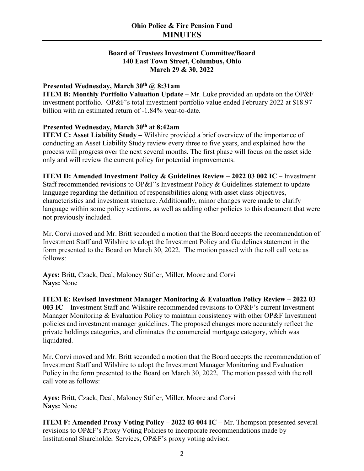# **Board of Trustees Investment Committee/Board 140 East Town Street, Columbus, Ohio March 29 & 30, 2022**

# **Presented Wednesday, March 30th @ 8:31am**

**ITEM B: Monthly Portfolio Valuation Update – Mr. Luke provided an update on the OP&F** investment portfolio. OP&F's total investment portfolio value ended February 2022 at \$18.97 billion with an estimated return of -1.84% year-to-date.

# **Presented Wednesday, March 30th at 8:42am**

**ITEM C: Asset Liability Study –** Wilshire provided a brief overview of the importance of conducting an Asset Liability Study review every three to five years, and explained how the process will progress over the next several months. The first phase will focus on the asset side only and will review the current policy for potential improvements.

**ITEM D: Amended Investment Policy & Guidelines Review – 2022 03 002 IC –** Investment Staff recommended revisions to OP&F's Investment Policy & Guidelines statement to update language regarding the definition of responsibilities along with asset class objectives, characteristics and investment structure. Additionally, minor changes were made to clarify language within some policy sections, as well as adding other policies to this document that were not previously included.

Mr. Corvi moved and Mr. Britt seconded a motion that the Board accepts the recommendation of Investment Staff and Wilshire to adopt the Investment Policy and Guidelines statement in the form presented to the Board on March 30, 2022. The motion passed with the roll call vote as follows:

**Ayes:** Britt, Czack, Deal, Maloney Stifler, Miller, Moore and Corvi **Nays:** None

**ITEM E: Revised Investment Manager Monitoring & Evaluation Policy Review – 2022 03 003 IC –** Investment Staff and Wilshire recommended revisions to OP&F's current Investment Manager Monitoring & Evaluation Policy to maintain consistency with other OP&F Investment policies and investment manager guidelines. The proposed changes more accurately reflect the private holdings categories, and eliminates the commercial mortgage category, which was liquidated.

Mr. Corvi moved and Mr. Britt seconded a motion that the Board accepts the recommendation of Investment Staff and Wilshire to adopt the Investment Manager Monitoring and Evaluation Policy in the form presented to the Board on March 30, 2022. The motion passed with the roll call vote as follows:

**Ayes:** Britt, Czack, Deal, Maloney Stifler, Miller, Moore and Corvi **Nays:** None

**ITEM F: Amended Proxy Voting Policy – 2022 03 004 IC –** Mr. Thompson presented several revisions to OP&F's Proxy Voting Policies to incorporate recommendations made by Institutional Shareholder Services, OP&F's proxy voting advisor.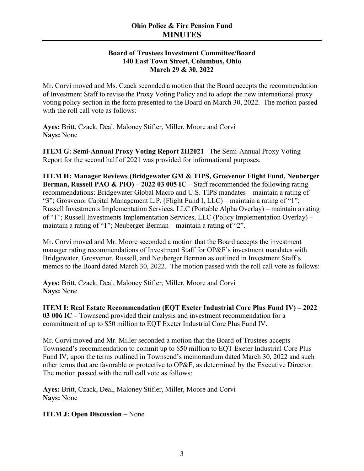# **Board of Trustees Investment Committee/Board 140 East Town Street, Columbus, Ohio March 29 & 30, 2022**

Mr. Corvi moved and Ms. Czack seconded a motion that the Board accepts the recommendation of Investment Staff to revise the Proxy Voting Policy and to adopt the new international proxy voting policy section in the form presented to the Board on March 30, 2022. The motion passed with the roll call vote as follows:

**Ayes:** Britt, Czack, Deal, Maloney Stifler, Miller, Moore and Corvi **Nays:** None

**ITEM G: Semi-Annual Proxy Voting Report 2H2021–** The Semi-Annual Proxy Voting Report for the second half of 2021 was provided for informational purposes.

**ITEM H: Manager Reviews (Bridgewater GM & TIPS, Grosvenor Flight Fund, Neuberger Berman, Russell PAO & PIO) – 2022 03 005 IC –** Staff recommended the following rating recommendations: Bridgewater Global Macro and U.S. TIPS mandates – maintain a rating of "3"; Grosvenor Capital Management L.P. (Flight Fund I, LLC) – maintain a rating of "1"; Russell Investments Implementation Services, LLC (Portable Alpha Overlay) – maintain a rating of "1"; Russell Investments Implementation Services, LLC (Policy Implementation Overlay) – maintain a rating of "1"; Neuberger Berman – maintain a rating of "2".

Mr. Corvi moved and Mr. Moore seconded a motion that the Board accepts the investment manager rating recommendations of Investment Staff for OP&F's investment mandates with Bridgewater, Grosvenor, Russell, and Neuberger Berman as outlined in Investment Staff's memos to the Board dated March 30, 2022. The motion passed with the roll call vote as follows:

**Ayes:** Britt, Czack, Deal, Maloney Stifler, Miller, Moore and Corvi **Nays:** None

**ITEM I: Real Estate Recommendation (EQT Exeter Industrial Core Plus Fund IV) – 2022 03 006 IC –** Townsend provided their analysis and investment recommendation for a commitment of up to \$50 million to EQT Exeter Industrial Core Plus Fund IV.

Mr. Corvi moved and Mr. Miller seconded a motion that the Board of Trustees accepts Townsend's recommendation to commit up to \$50 million to EQT Exeter Industrial Core Plus Fund IV, upon the terms outlined in Townsend's memorandum dated March 30, 2022 and such other terms that are favorable or protective to OP&F, as determined by the Executive Director. The motion passed with the roll call vote as follows:

**Ayes:** Britt, Czack, Deal, Maloney Stifler, Miller, Moore and Corvi **Nays:** None

# **ITEM J: Open Discussion –** None